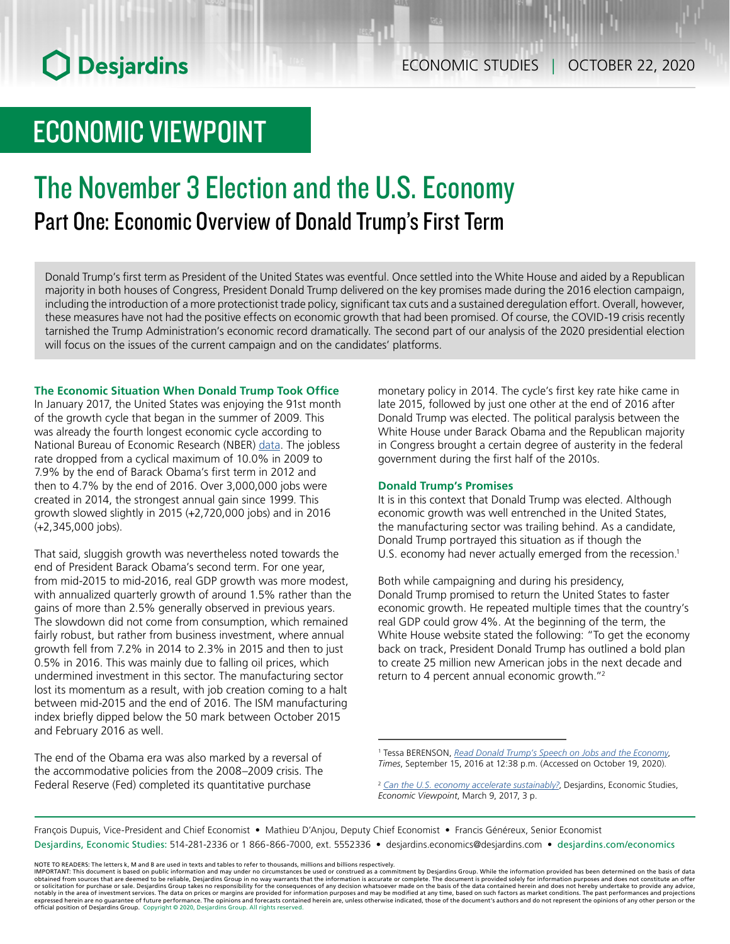# **O** Desjardins

## ECONOMIC VIEWPOINT

## The November 3 Election and the U.S. Economy Part One: Economic Overview of Donald Trump's First Term

Donald Trump's first term as President of the United States was eventful. Once settled into the White House and aided by a Republican majority in both houses of Congress, President Donald Trump delivered on the key promises made during the 2016 election campaign, including the introduction of a more protectionist trade policy, significant tax cuts and a sustained deregulation effort. Overall, however, these measures have not had the positive effects on economic growth that had been promised. Of course, the COVID-19 crisis recently tarnished the Trump Administration's economic record dramatically. The second part of our analysis of the 2020 presidential election will focus on the issues of the current campaign and on the candidates' platforms.

## **The Economic Situation When Donald Trump Took Office**

In January 2017, the United States was enjoying the 91st month of the growth cycle that began in the summer of 2009. This was already the fourth longest economic cycle according to National Bureau of Economic Research (NBER) [data](https://www.nber.org/cycles/cyclesmain.html). The jobless rate dropped from a cyclical maximum of 10.0% in 2009 to 7.9% by the end of Barack Obama's first term in 2012 and then to 4.7% by the end of 2016. Over 3,000,000 jobs were created in 2014, the strongest annual gain since 1999. This growth slowed slightly in 2015 (+2,720,000 jobs) and in 2016 (+2,345,000 jobs).

That said, sluggish growth was nevertheless noted towards the end of President Barack Obama's second term. For one year, from mid-2015 to mid-2016, real GDP growth was more modest, with annualized quarterly growth of around 1.5% rather than the gains of more than 2.5% generally observed in previous years. The slowdown did not come from consumption, which remained fairly robust, but rather from business investment, where annual growth fell from 7.2% in 2014 to 2.3% in 2015 and then to just 0.5% in 2016. This was mainly due to falling oil prices, which undermined investment in this sector. The manufacturing sector lost its momentum as a result, with job creation coming to a halt between mid-2015 and the end of 2016. The ISM manufacturing index briefly dipped below the 50 mark between October 2015 and February 2016 as well.

The end of the Obama era was also marked by a reversal of the accommodative policies from the 2008–2009 crisis. The Federal Reserve (Fed) completed its quantitative purchase

monetary policy in 2014. The cycle's first key rate hike came in late 2015, followed by just one other at the end of 2016 after Donald Trump was elected. The political paralysis between the White House under Barack Obama and the Republican majority in Congress brought a certain degree of austerity in the federal government during the first half of the 2010s.

#### **Donald Trump's Promises**

It is in this context that Donald Trump was elected. Although economic growth was well entrenched in the United States, the manufacturing sector was trailing behind. As a candidate, Donald Trump portrayed this situation as if though the U.S. economy had never actually emerged from the recession.<sup>1</sup>

Both while campaigning and during his presidency, Donald Trump promised to return the United States to faster economic growth. He repeated multiple times that the country's real GDP could grow 4%. At the beginning of the term, the White House website stated the following: "To get the economy back on track, President Donald Trump has outlined a bold plan to create 25 million new American jobs in the next decade and return to 4 percent annual economic growth."2

François Dupuis, Vice-President and Chief Economist • Mathieu D'Anjou, Deputy Chief Economist • Francis Généreux, Senior Economist Desjardins, Economic Studies: 514-281-2336 or 1 866-866-7000, ext. 5552336 • desjardins.economics@desjardins.com • [desjardins.com/economics](http://desjardins.com/economics)

NOTE TO READERS: The letters k, M and B are used in texts and tables to refer to thousands, millions and billions respectively.<br>IMPORTANT: This document is based on public information and may under no circumstances be used obtained from sources that are deemed to be reliable, Desjardins Group in no way warrants that the information is accurate or complete. The document is provided solely for information purposes and does not constitute an of expressed herein are no guarantee of future performance. The opinions and forecasts contained herein are, unless otherwise indicated, those of the document's authors and do not represent the opinions of any other person or official position of Desjardins Group. Copyright © 2020, Desjardins Group. All rights reserved.

<sup>1</sup> Tessa BERENSON, *[Read Donald Trump's Speech on Jobs and the Economy](https://time.com/4495507/donald-trump-economy-speech-transcript/)*, *Times*, September 15, 2016 at 12:38 p.m. (Accessed on October 19, 2020).

<sup>&</sup>lt;sup>2</sup> [Can the U.S. economy accelerate sustainably?](https://www.desjardins.com/ressources/pdf/pv170309-e.pdf), Desjardins, Economic Studies, *Economic Viewpoint*, March 9, 2017, 3 p.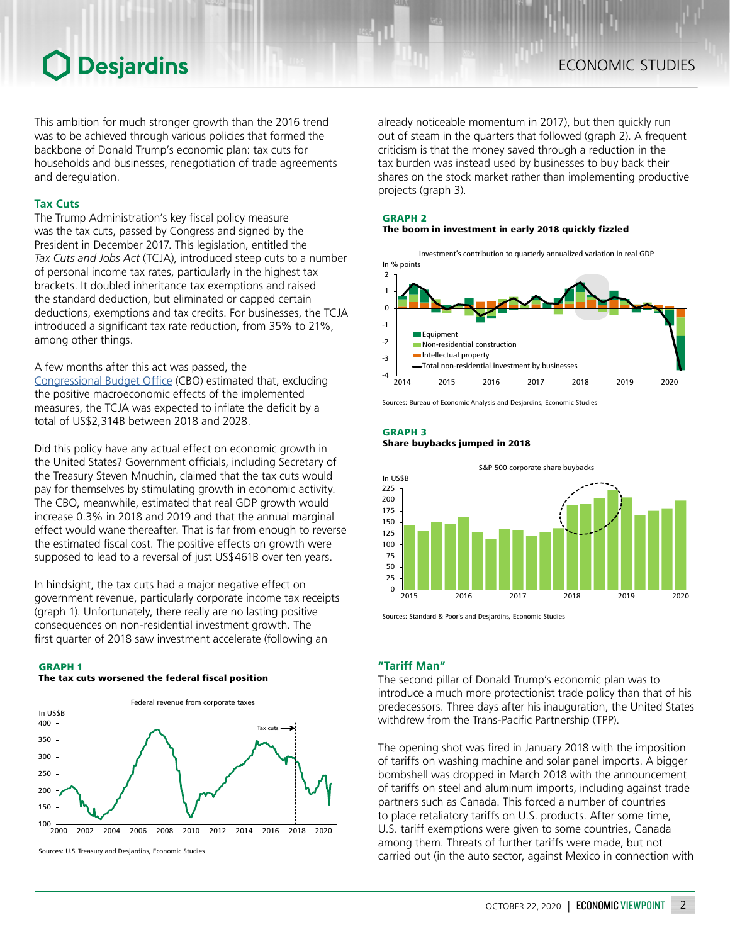## **O** Desjardins

This ambition for much stronger growth than the 2016 trend was to be achieved through various policies that formed the backbone of Donald Trump's economic plan: tax cuts for households and businesses, renegotiation of trade agreements and deregulation.

### **Tax Cuts**

The Trump Administration's key fiscal policy measure was the tax cuts, passed by Congress and signed by the President in December 2017. This legislation, entitled the *Tax Cuts and Jobs Act* (TCJA), introduced steep cuts to a number of personal income tax rates, particularly in the highest tax brackets. It doubled inheritance tax exemptions and raised the standard deduction, but eliminated or capped certain deductions, exemptions and tax credits. For businesses, the TCJA introduced a significant tax rate reduction, from 35% to 21%, among other things.

### A few months after this act was passed, the

[Congressional](https://www.cbo.gov/sites/default/files/115th-congress-2017-2018/reports/53651-outlook-appendixb.pdf) Budget Office (CBO) estimated that, excluding the positive macroeconomic effects of the implemented measures, the TCJA was expected to inflate the deficit by a total of US\$2,314B between 2018 and 2028.

Did this policy have any actual effect on economic growth in the United States? Government officials, including Secretary of the Treasury Steven Mnuchin, claimed that the tax cuts would pay for themselves by stimulating growth in economic activity. The CBO, meanwhile, estimated that real GDP growth would increase 0.3% in 2018 and 2019 and that the annual marginal effect would wane thereafter. That is far from enough to reverse the estimated fiscal cost. The positive effects on growth were supposed to lead to a reversal of just US\$461B over ten years.

In hindsight, the tax cuts had a major negative effect on government revenue, particularly corporate income tax receipts (graph 1). Unfortunately, there really are no lasting positive consequences on non-residential investment growth. The first quarter of 2018 saw investment accelerate (following an

#### GRAPH 1

#### The tax cuts worsened the federal fiscal position



Sources: U.S. Treasury and Desjardins, Economic Studies

already noticeable momentum in 2017), but then quickly run out of steam in the quarters that followed (graph 2). A frequent criticism is that the money saved through a reduction in the tax burden was instead used by businesses to buy back their shares on the stock market rather than implementing productive projects (graph 3).

## GRAPH 2

## The boom in investment in early 2018 quickly fizzled

Investment's contribution to quarterly annualized variation in real GDP In % points



Sources: Bureau of Economic Analysis and Desjardins, Economic Studies

GRAPH 3





Sources: Standard & Poor's and Desjardins, Economic Studies

## **"Tariff Man"**

The second pillar of Donald Trump's economic plan was to introduce a much more protectionist trade policy than that of his predecessors. Three days after his inauguration, the United States withdrew from the Trans-Pacific Partnership (TPP).

The opening shot was fired in January 2018 with the imposition of tariffs on washing machine and solar panel imports. A bigger bombshell was dropped in March 2018 with the announcement of tariffs on steel and aluminum imports, including against trade partners such as Canada. This forced a number of countries to place retaliatory tariffs on U.S. products. After some time, U.S. tariff exemptions were given to some countries, Canada among them. Threats of further tariffs were made, but not carried out (in the auto sector, against Mexico in connection with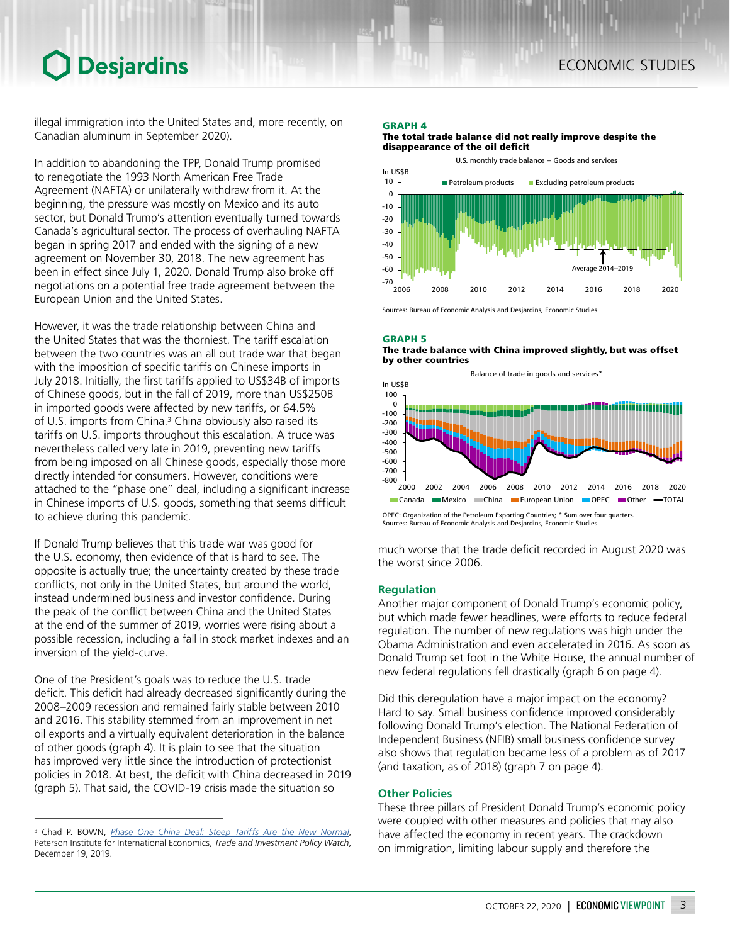## Desjardins

illegal immigration into the United States and, more recently, on Canadian aluminum in September 2020).

In addition to abandoning the TPP, Donald Trump promised to renegotiate the 1993 North American Free Trade Agreement (NAFTA) or unilaterally withdraw from it. At the beginning, the pressure was mostly on Mexico and its auto sector, but Donald Trump's attention eventually turned towards Canada's agricultural sector. The process of overhauling NAFTA began in spring 2017 and ended with the signing of a new agreement on November 30, 2018. The new agreement has been in effect since July 1, 2020. Donald Trump also broke off negotiations on a potential free trade agreement between the European Union and the United States.

However, it was the trade relationship between China and the United States that was the thorniest. The tariff escalation between the two countries was an all out trade war that began with the imposition of specific tariffs on Chinese imports in July 2018. Initially, the first tariffs applied to US\$34B of imports of Chinese goods, but in the fall of 2019, more than US\$250B in imported goods were affected by new tariffs, or 64.5% of U.S. imports from China.<sup>3</sup> China obviously also raised its tariffs on U.S. imports throughout this escalation. A truce was nevertheless called very late in 2019, preventing new tariffs from being imposed on all Chinese goods, especially those more directly intended for consumers. However, conditions were attached to the "phase one" deal, including a significant increase in Chinese imports of U.S. goods, something that seems difficult to achieve during this pandemic.

If Donald Trump believes that this trade war was good for the U.S. economy, then evidence of that is hard to see. The opposite is actually true; the uncertainty created by these trade conflicts, not only in the United States, but around the world, instead undermined business and investor confidence. During the peak of the conflict between China and the United States at the end of the summer of 2019, worries were rising about a possible recession, including a fall in stock market indexes and an inversion of the yield-curve.

One of the President's goals was to reduce the U.S. trade deficit. This deficit had already decreased significantly during the 2008–2009 recession and remained fairly stable between 2010 and 2016. This stability stemmed from an improvement in net oil exports and a virtually equivalent deterioration in the balance of other goods (graph 4). It is plain to see that the situation has improved very little since the introduction of protectionist policies in 2018. At best, the deficit with China decreased in 2019 (graph 5). That said, the COVID-19 crisis made the situation so

#### GRAPH 4

The total trade balance did not really improve despite the disappearance of the oil deficit



Sources: Bureau of Economic Analysis and Desjardins, Economic Studies

GRAPH 5

The trade balance with China improved slightly, but was offset by other countries



OPEC: Organization of the Petroleum Exporting Countries; \* Sum over four quarters. Sources: Bureau of Economic Analysis and Desjardins, Economic Studies

much worse that the trade deficit recorded in August 2020 was the worst since 2006.

## **Regulation**

Another major component of Donald Trump's economic policy, but which made fewer headlines, were efforts to reduce federal regulation. The number of new regulations was high under the Obama Administration and even accelerated in 2016. As soon as Donald Trump set foot in the White House, the annual number of new federal regulations fell drastically (graph 6 on page 4).

Did this deregulation have a major impact on the economy? Hard to say. Small business confidence improved considerably following Donald Trump's election. The National Federation of Independent Business (NFIB) small business confidence survey also shows that regulation became less of a problem as of 2017 (and taxation, as of 2018) (graph 7 on page 4).

## **Other Policies**

These three pillars of President Donald Trump's economic policy were coupled with other measures and policies that may also have affected the economy in recent years. The crackdown on immigration, limiting labour supply and therefore the

<sup>3</sup> Chad P. BOWN, *[Phase One China Deal: Steep Tariffs Are the New Normal](https://www.piie.com/blogs/trade-and-investment-policy-watch/phase-one-china-deal-steep-tariffs-are-new-normal)*, Peterson Institute for International Economics, *Trade and Investment Policy Watch*, December 19, 2019.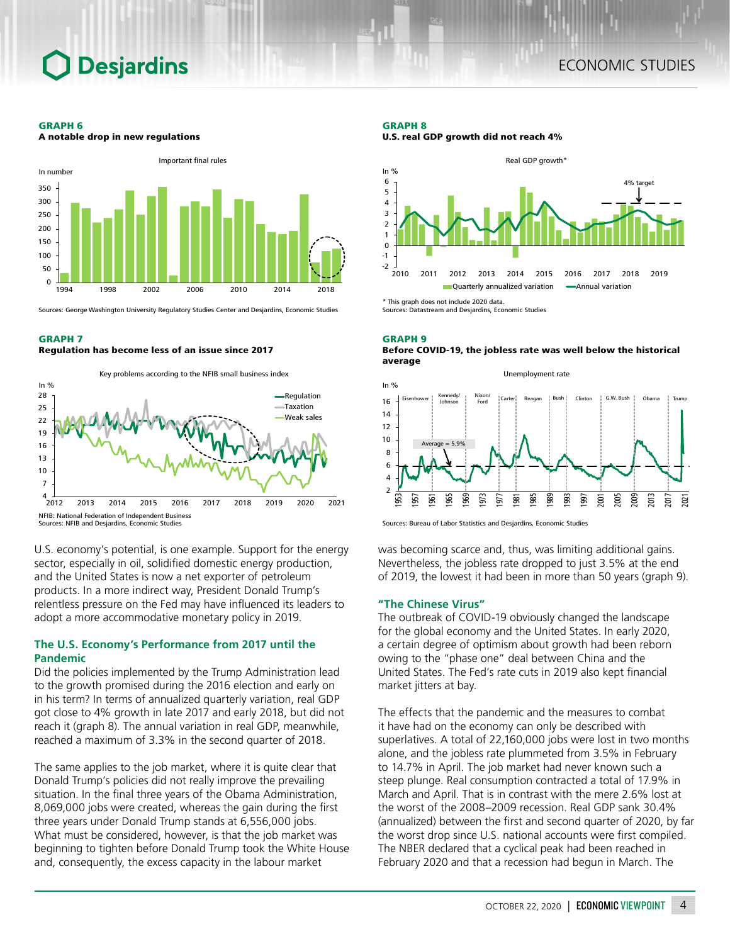## **Desjardins**

#### GRAPH 6

A notable drop in new regulations



Sources: George Washington University Regulatory Studies Center and Desjardins, Economic Studies

#### GRAPH 7

Regulation has become less of an issue since 2017



U.S. economy's potential, is one example. Support for the energy sector, especially in oil, solidified domestic energy production, and the United States is now a net exporter of petroleum products. In a more indirect way, President Donald Trump's relentless pressure on the Fed may have influenced its leaders to adopt a more accommodative monetary policy in 2019.

### **The U.S. Economy's Performance from 2017 until the Pandemic**

Did the policies implemented by the Trump Administration lead to the growth promised during the 2016 election and early on in his term? In terms of annualized quarterly variation, real GDP got close to 4% growth in late 2017 and early 2018, but did not reach it (graph 8). The annual variation in real GDP, meanwhile, reached a maximum of 3.3% in the second quarter of 2018.

The same applies to the job market, where it is quite clear that Donald Trump's policies did not really improve the prevailing situation. In the final three years of the Obama Administration, 8,069,000 jobs were created, whereas the gain during the first three years under Donald Trump stands at 6,556,000 jobs. What must be considered, however, is that the job market was beginning to tighten before Donald Trump took the White House and, consequently, the excess capacity in the labour market

#### GRAPH 8

U.S. real GDP growth did not reach 4%



Sources: Datastream and Desjardins, Economic Studies

#### GRAPH 9 Before COVID-19, the jobless rate was well below the historical average



Sources: Bureau of Labor Statistics and Desjardins, Economic Studies

was becoming scarce and, thus, was limiting additional gains. Nevertheless, the jobless rate dropped to just 3.5% at the end of 2019, the lowest it had been in more than 50 years (graph 9).

#### **"The Chinese Virus"**

The outbreak of COVID-19 obviously changed the landscape for the global economy and the United States. In early 2020, a certain degree of optimism about growth had been reborn owing to the "phase one" deal between China and the United States. The Fed's rate cuts in 2019 also kept financial market jitters at bay.

The effects that the pandemic and the measures to combat it have had on the economy can only be described with superlatives. A total of 22,160,000 jobs were lost in two months alone, and the jobless rate plummeted from 3.5% in February to 14.7% in April. The job market had never known such a steep plunge. Real consumption contracted a total of 17.9% in March and April. That is in contrast with the mere 2.6% lost at the worst of the 2008–2009 recession. Real GDP sank 30.4% (annualized) between the first and second quarter of 2020, by far the worst drop since U.S. national accounts were first compiled. The NBER declared that a cyclical peak had been reached in February 2020 and that a recession had begun in March. The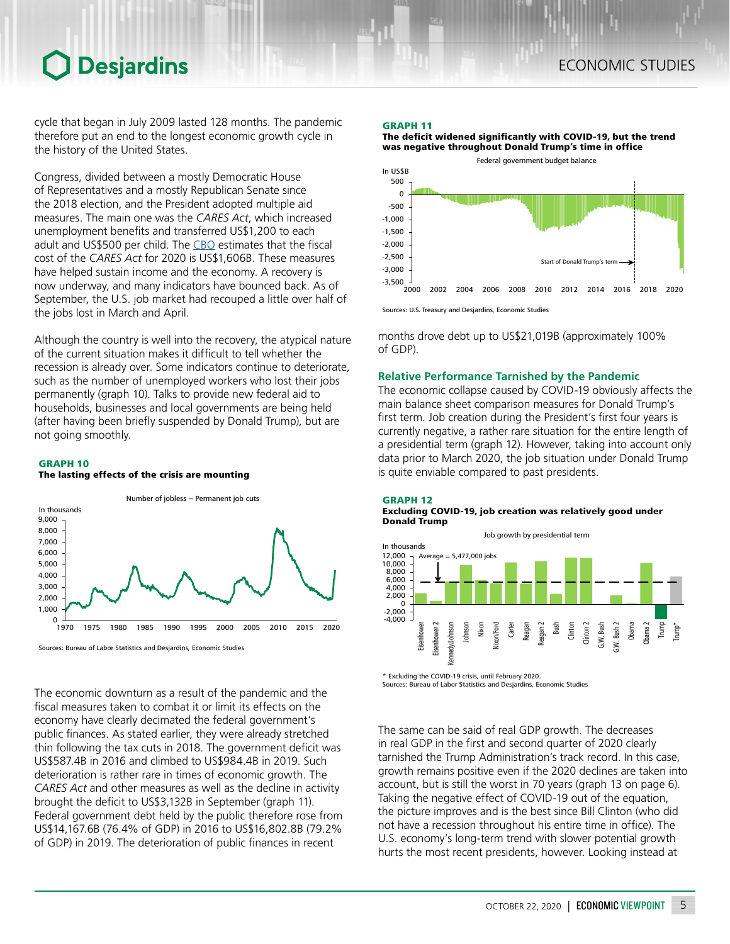## **Desjardins**

cycle that began in July 2009 lasted 128 months. The pandemic therefore put an end to the longest economic growth cycle in the history of the United States.

Congress, divided between a mostly Democratic House of Representatives and a mostly Republican Senate since the 2018 election, and the President adopted multiple aid measures. The main one was the *CARES Act*, which increased unemployment benefits and transferred US\$1,200 to each adult and US\$500 per child. The [CBO](https://www.cbo.gov/system/files/2020-04/hr748.pdf) estimates that the fiscal cost of the *CARES Act* for 2020 is US\$1,606B. These measures have helped sustain income and the economy. A recovery is now underway, and many indicators have bounced back. As of September, the U.S. job market had recouped a little over half of the jobs lost in March and April.

Although the country is well into the recovery, the atypical nature of the current situation makes it difficult to tell whether the recession is already over. Some indicators continue to deteriorate, such as the number of unemployed workers who lost their jobs permanently (graph 10). Talks to provide new federal aid to households, businesses and local governments are being held (after having been briefly suspended by Donald Trump), but are not going smoothly.

#### GRAPH 10 The lasting effects of the crisis are mounting



Sources: Bureau of Labor Statistics and Desjardins, Economic Studies

The economic downturn as a result of the pandemic and the fiscal measures taken to combat it or limit its effects on the economy have clearly decimated the federal government's public finances. As stated earlier, they were already stretched thin following the tax cuts in 2018. The government deficit was US\$587.4B in 2016 and climbed to US\$984.4B in 2019. Such deterioration is rather rare in times of economic growth. The *CARES Act* and other measures as well as the decline in activity brought the deficit to US\$3,132B in September (graph 11). Federal government debt held by the public therefore rose from US\$14,167.6B (76.4% of GDP) in 2016 to US\$16,802.8B (79.2% of GDP) in 2019. The deterioration of public finances in recent

#### GRAPH 11

The deficit widened significantly with COVID-19, but the trend was negative throughout Donald Trump's time in office



Sources: U.S. Treasury and Desjardins, Economic Studies

months drove debt up to US\$21,019B (approximately 100% of GDP).

### **Relative Performance Tarnished by the Pandemic**

The economic collapse caused by COVID-19 obviously affects the main balance sheet comparison measures for Donald Trump's first term. Job creation during the President's first four years is currently negative, a rather rare situation for the entire length of a presidential term (graph 12). However, taking into account only data prior to March 2020, the job situation under Donald Trump is quite enviable compared to past presidents.

GRAPH 12

#### Excluding COVID-19, job creation was relatively good under Donald Trump



\* Excluding the COVID-19 crisis, until February 2020. Sources: Bureau of Labor Statistics and Desjardins, Economic Studies

The same can be said of real GDP growth. The decreases in real GDP in the first and second quarter of 2020 clearly tarnished the Trump Administration's track record. In this case, growth remains positive even if the 2020 declines are taken into account, but is still the worst in 70 years (graph 13 on page 6). Taking the negative effect of COVID-19 out of the equation, the picture improves and is the best since Bill Clinton (who did not have a recession throughout his entire time in office). The U.S. economy's long-term trend with slower potential growth hurts the most recent presidents, however. Looking instead at